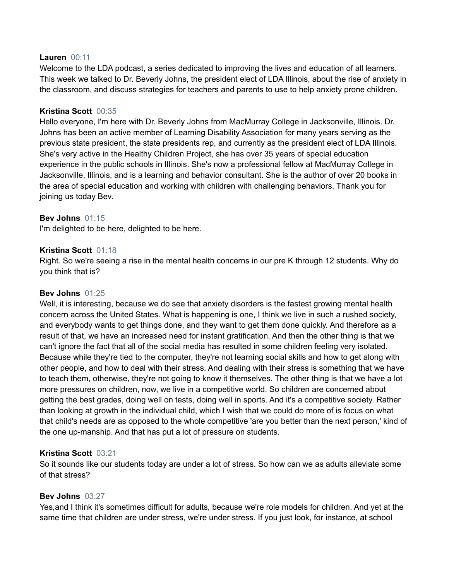### **Lauren** 00:11

Welcome to the LDA podcast, a series dedicated to improving the lives and education of all learners. This week we talked to Dr. Beverly Johns, the president elect of LDA Illinois, about the rise of anxiety in the classroom, and discuss strategies for teachers and parents to use to help anxiety prone children.

### **Kristina Scott** 00:35

Hello everyone, I'm here with Dr. Beverly Johns from MacMurray College in Jacksonville, Illinois. Dr. Johns has been an active member of Learning Disability Association for many years serving as the previous state president, the state presidents rep, and currently as the president elect of LDA Illinois. She's very active in the Healthy Children Project, she has over 35 years of special education experience in the public schools in Illinois. She's now a professional fellow at MacMurray College in Jacksonville, Illinois, and is a learning and behavior consultant. She is the author of over 20 books in the area of special education and working with children with challenging behaviors. Thank you for joining us today Bev.

## **Bev Johns** 01:15

I'm delighted to be here, delighted to be here.

### **Kristina Scott** 01:18

Right. So we're seeing a rise in the mental health concerns in our pre K through 12 students. Why do you think that is?

### **Bev Johns** 01:25

Well, it is interesting, because we do see that anxiety disorders is the fastest growing mental health concern across the United States. What is happening is one, I think we live in such a rushed society, and everybody wants to get things done, and they want to get them done quickly. And therefore as a result of that, we have an increased need for instant gratification. And then the other thing is that we can't ignore the fact that all of the social media has resulted in some children feeling very isolated. Because while they're tied to the computer, they're not learning social skills and how to get along with other people, and how to deal with their stress. And dealing with their stress is something that we have to teach them, otherwise, they're not going to know it themselves. The other thing is that we have a lot more pressures on children, now, we live in a competitive world. So children are concerned about getting the best grades, doing well on tests, doing well in sports. And it's a competitive society. Rather than looking at growth in the individual child, which I wish that we could do more of is focus on what that child's needs are as opposed to the whole competitive 'are you better than the next person,' kind of the one up-manship. And that has put a lot of pressure on students.

### **Kristina Scott** 03:21

So it sounds like our students today are under a lot of stress. So how can we as adults alleviate some of that stress?

# **Bev Johns** 03:27

Yes,and I think it's sometimes difficult for adults, because we're role models for children. And yet at the same time that children are under stress, we're under stress. If you just look, for instance, at school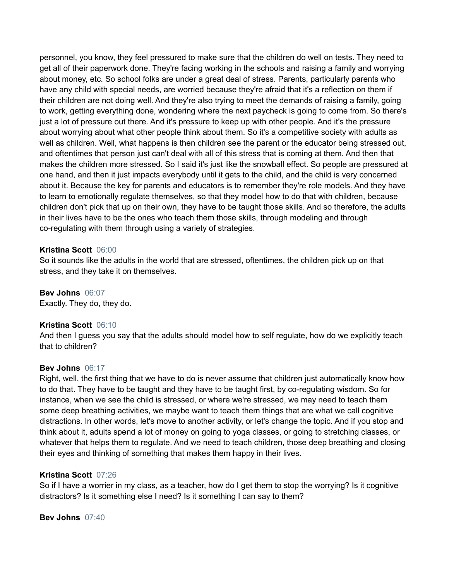personnel, you know, they feel pressured to make sure that the children do well on tests. They need to get all of their paperwork done. They're facing working in the schools and raising a family and worrying about money, etc. So school folks are under a great deal of stress. Parents, particularly parents who have any child with special needs, are worried because they're afraid that it's a reflection on them if their children are not doing well. And they're also trying to meet the demands of raising a family, going to work, getting everything done, wondering where the next paycheck is going to come from. So there's just a lot of pressure out there. And it's pressure to keep up with other people. And it's the pressure about worrying about what other people think about them. So it's a competitive society with adults as well as children. Well, what happens is then children see the parent or the educator being stressed out, and oftentimes that person just can't deal with all of this stress that is coming at them. And then that makes the children more stressed. So I said it's just like the snowball effect. So people are pressured at one hand, and then it just impacts everybody until it gets to the child, and the child is very concerned about it. Because the key for parents and educators is to remember they're role models. And they have to learn to emotionally regulate themselves, so that they model how to do that with children, because children don't pick that up on their own, they have to be taught those skills. And so therefore, the adults in their lives have to be the ones who teach them those skills, through modeling and through co-regulating with them through using a variety of strategies.

### **Kristina Scott** 06:00

So it sounds like the adults in the world that are stressed, oftentimes, the children pick up on that stress, and they take it on themselves.

### **Bev Johns** 06:07

Exactly. They do, they do.

### **Kristina Scott** 06:10

And then I guess you say that the adults should model how to self regulate, how do we explicitly teach that to children?

### **Bev Johns** 06:17

Right, well, the first thing that we have to do is never assume that children just automatically know how to do that. They have to be taught and they have to be taught first, by co-regulating wisdom. So for instance, when we see the child is stressed, or where we're stressed, we may need to teach them some deep breathing activities, we maybe want to teach them things that are what we call cognitive distractions. In other words, let's move to another activity, or let's change the topic. And if you stop and think about it, adults spend a lot of money on going to yoga classes, or going to stretching classes, or whatever that helps them to regulate. And we need to teach children, those deep breathing and closing their eyes and thinking of something that makes them happy in their lives.

### **Kristina Scott** 07:26

So if I have a worrier in my class, as a teacher, how do I get them to stop the worrying? Is it cognitive distractors? Is it something else I need? Is it something I can say to them?

### **Bev Johns** 07:40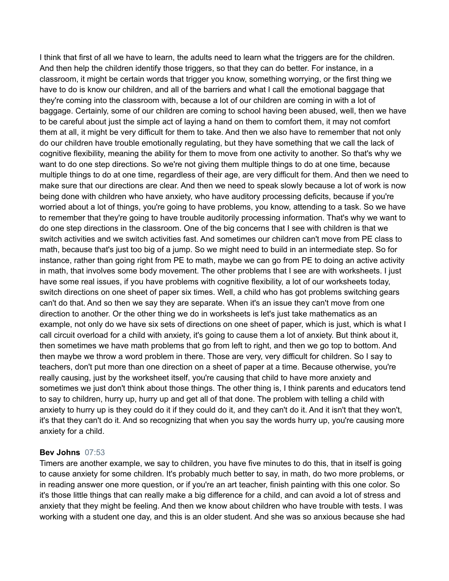I think that first of all we have to learn, the adults need to learn what the triggers are for the children. And then help the children identify those triggers, so that they can do better. For instance, in a classroom, it might be certain words that trigger you know, something worrying, or the first thing we have to do is know our children, and all of the barriers and what I call the emotional baggage that they're coming into the classroom with, because a lot of our children are coming in with a lot of baggage. Certainly, some of our children are coming to school having been abused, well, then we have to be careful about just the simple act of laying a hand on them to comfort them, it may not comfort them at all, it might be very difficult for them to take. And then we also have to remember that not only do our children have trouble emotionally regulating, but they have something that we call the lack of cognitive flexibility, meaning the ability for them to move from one activity to another. So that's why we want to do one step directions. So we're not giving them multiple things to do at one time, because multiple things to do at one time, regardless of their age, are very difficult for them. And then we need to make sure that our directions are clear. And then we need to speak slowly because a lot of work is now being done with children who have anxiety, who have auditory processing deficits, because if you're worried about a lot of things, you're going to have problems, you know, attending to a task. So we have to remember that they're going to have trouble auditorily processing information. That's why we want to do one step directions in the classroom. One of the big concerns that I see with children is that we switch activities and we switch activities fast. And sometimes our children can't move from PE class to math, because that's just too big of a jump. So we might need to build in an intermediate step. So for instance, rather than going right from PE to math, maybe we can go from PE to doing an active activity in math, that involves some body movement. The other problems that I see are with worksheets. I just have some real issues, if you have problems with cognitive flexibility, a lot of our worksheets today, switch directions on one sheet of paper six times. Well, a child who has got problems switching gears can't do that. And so then we say they are separate. When it's an issue they can't move from one direction to another. Or the other thing we do in worksheets is let's just take mathematics as an example, not only do we have six sets of directions on one sheet of paper, which is just, which is what I call circuit overload for a child with anxiety, it's going to cause them a lot of anxiety. But think about it, then sometimes we have math problems that go from left to right, and then we go top to bottom. And then maybe we throw a word problem in there. Those are very, very difficult for children. So I say to teachers, don't put more than one direction on a sheet of paper at a time. Because otherwise, you're really causing, just by the worksheet itself, you're causing that child to have more anxiety and sometimes we just don't think about those things. The other thing is, I think parents and educators tend to say to children, hurry up, hurry up and get all of that done. The problem with telling a child with anxiety to hurry up is they could do it if they could do it, and they can't do it. And it isn't that they won't, it's that they can't do it. And so recognizing that when you say the words hurry up, you're causing more anxiety for a child.

### **Bev Johns** 07:53

Timers are another example, we say to children, you have five minutes to do this, that in itself is going to cause anxiety for some children. It's probably much better to say, in math, do two more problems, or in reading answer one more question, or if you're an art teacher, finish painting with this one color. So it's those little things that can really make a big difference for a child, and can avoid a lot of stress and anxiety that they might be feeling. And then we know about children who have trouble with tests. I was working with a student one day, and this is an older student. And she was so anxious because she had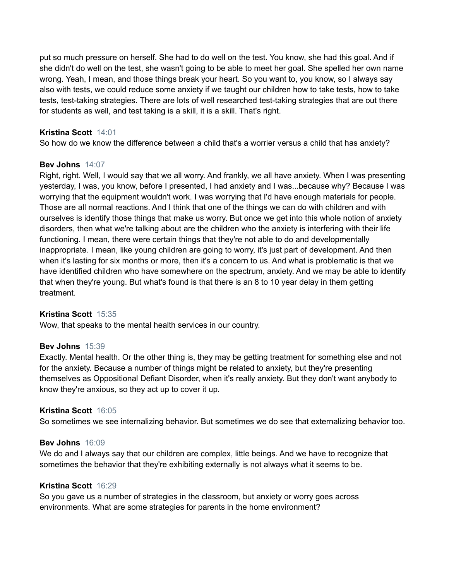put so much pressure on herself. She had to do well on the test. You know, she had this goal. And if she didn't do well on the test, she wasn't going to be able to meet her goal. She spelled her own name wrong. Yeah, I mean, and those things break your heart. So you want to, you know, so I always say also with tests, we could reduce some anxiety if we taught our children how to take tests, how to take tests, test-taking strategies. There are lots of well researched test-taking strategies that are out there for students as well, and test taking is a skill, it is a skill. That's right.

## **Kristina Scott** 14:01

So how do we know the difference between a child that's a worrier versus a child that has anxiety?

## **Bev Johns** 14:07

Right, right. Well, I would say that we all worry. And frankly, we all have anxiety. When I was presenting yesterday, I was, you know, before I presented, I had anxiety and I was...because why? Because I was worrying that the equipment wouldn't work. I was worrying that I'd have enough materials for people. Those are all normal reactions. And I think that one of the things we can do with children and with ourselves is identify those things that make us worry. But once we get into this whole notion of anxiety disorders, then what we're talking about are the children who the anxiety is interfering with their life functioning. I mean, there were certain things that they're not able to do and developmentally inappropriate. I mean, like young children are going to worry, it's just part of development. And then when it's lasting for six months or more, then it's a concern to us. And what is problematic is that we have identified children who have somewhere on the spectrum, anxiety. And we may be able to identify that when they're young. But what's found is that there is an 8 to 10 year delay in them getting treatment.

## **Kristina Scott** 15:35

Wow, that speaks to the mental health services in our country.

## **Bev Johns** 15:39

Exactly. Mental health. Or the other thing is, they may be getting treatment for something else and not for the anxiety. Because a number of things might be related to anxiety, but they're presenting themselves as Oppositional Defiant Disorder, when it's really anxiety. But they don't want anybody to know they're anxious, so they act up to cover it up.

## **Kristina Scott** 16:05

So sometimes we see internalizing behavior. But sometimes we do see that externalizing behavior too.

### **Bev Johns** 16:09

We do and I always say that our children are complex, little beings. And we have to recognize that sometimes the behavior that they're exhibiting externally is not always what it seems to be.

### **Kristina Scott** 16:29

So you gave us a number of strategies in the classroom, but anxiety or worry goes across environments. What are some strategies for parents in the home environment?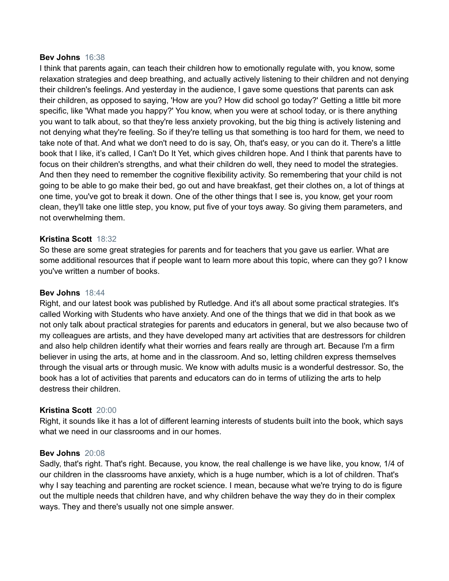#### **Bev Johns** 16:38

I think that parents again, can teach their children how to emotionally regulate with, you know, some relaxation strategies and deep breathing, and actually actively listening to their children and not denying their children's feelings. And yesterday in the audience, I gave some questions that parents can ask their children, as opposed to saying, 'How are you? How did school go today?' Getting a little bit more specific, like 'What made you happy?' You know, when you were at school today, or is there anything you want to talk about, so that they're less anxiety provoking, but the big thing is actively listening and not denying what they're feeling. So if they're telling us that something is too hard for them, we need to take note of that. And what we don't need to do is say, Oh, that's easy, or you can do it. There's a little book that I like, it's called, I Can't Do It Yet, which gives children hope. And I think that parents have to focus on their children's strengths, and what their children do well, they need to model the strategies. And then they need to remember the cognitive flexibility activity. So remembering that your child is not going to be able to go make their bed, go out and have breakfast, get their clothes on, a lot of things at one time, you've got to break it down. One of the other things that I see is, you know, get your room clean, they'll take one little step, you know, put five of your toys away. So giving them parameters, and not overwhelming them.

### **Kristina Scott** 18:32

So these are some great strategies for parents and for teachers that you gave us earlier. What are some additional resources that if people want to learn more about this topic, where can they go? I know you've written a number of books.

### **Bev Johns** 18:44

Right, and our latest book was published by Rutledge. And it's all about some practical strategies. It's called Working with Students who have anxiety. And one of the things that we did in that book as we not only talk about practical strategies for parents and educators in general, but we also because two of my colleagues are artists, and they have developed many art activities that are destressors for children and also help children identify what their worries and fears really are through art. Because I'm a firm believer in using the arts, at home and in the classroom. And so, letting children express themselves through the visual arts or through music. We know with adults music is a wonderful destressor. So, the book has a lot of activities that parents and educators can do in terms of utilizing the arts to help destress their children.

### **Kristina Scott** 20:00

Right, it sounds like it has a lot of different learning interests of students built into the book, which says what we need in our classrooms and in our homes.

### **Bev Johns** 20:08

Sadly, that's right. That's right. Because, you know, the real challenge is we have like, you know, 1/4 of our children in the classrooms have anxiety, which is a huge number, which is a lot of children. That's why I say teaching and parenting are rocket science. I mean, because what we're trying to do is figure out the multiple needs that children have, and why children behave the way they do in their complex ways. They and there's usually not one simple answer.